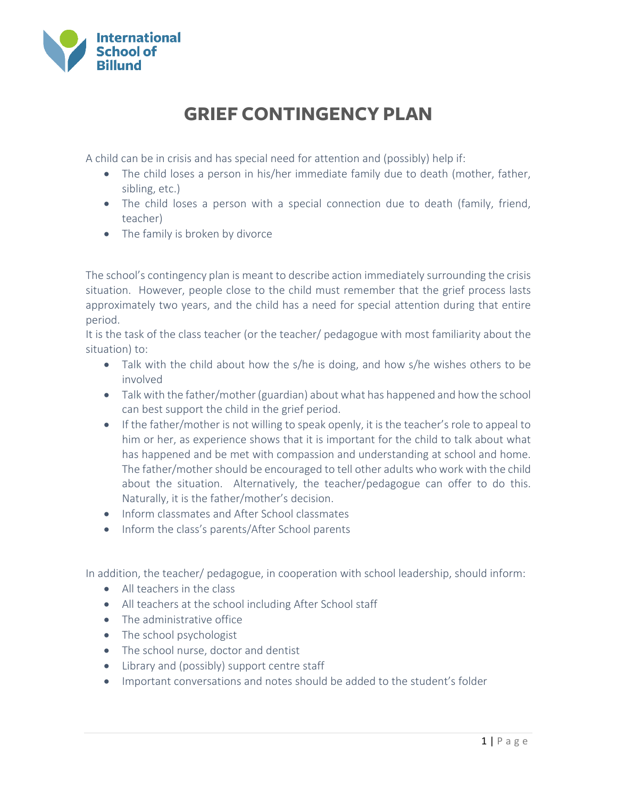

## **GRIEF CONTINGENCY PLAN**

A child can be in crisis and has special need for attention and (possibly) help if:

- The child loses a person in his/her immediate family due to death (mother, father, sibling, etc.)
- The child loses a person with a special connection due to death (family, friend, teacher)
- The family is broken by divorce

The school's contingency plan is meant to describe action immediately surrounding the crisis situation. However, people close to the child must remember that the grief process lasts approximately two years, and the child has a need for special attention during that entire period.

It is the task of the class teacher (or the teacher/ pedagogue with most familiarity about the situation) to:

- Talk with the child about how the s/he is doing, and how s/he wishes others to be involved
- Talk with the father/mother (guardian) about what has happened and how the school can best support the child in the grief period.
- If the father/mother is not willing to speak openly, it is the teacher's role to appeal to him or her, as experience shows that it is important for the child to talk about what has happened and be met with compassion and understanding at school and home. The father/mother should be encouraged to tell other adults who work with the child about the situation. Alternatively, the teacher/pedagogue can offer to do this. Naturally, it is the father/mother's decision.
- Inform classmates and After School classmates
- Inform the class's parents/After School parents

In addition, the teacher/ pedagogue, in cooperation with school leadership, should inform:

- All teachers in the class
- All teachers at the school including After School staff
- The administrative office
- The school psychologist
- The school nurse, doctor and dentist
- Library and (possibly) support centre staff
- Important conversations and notes should be added to the student's folder